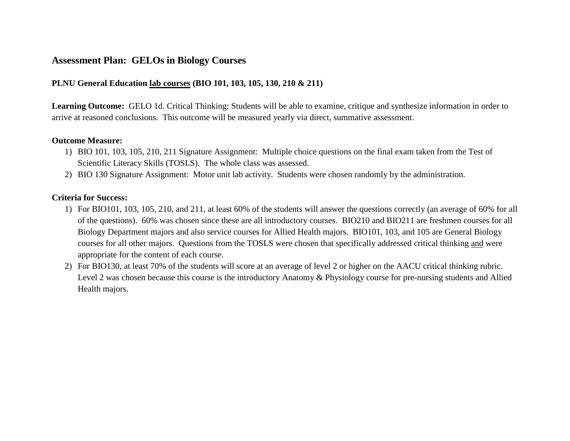# **Assessment Plan: GELOs in Biology Courses**

# **PLNU General Education lab courses (BIO 101, 103, 105, 130, 210 & 211)**

**Learning Outcome:**GELO 1d. Critical Thinking: Students will be able to examine, critique and synthesize information in order to arrive at reasoned conclusions. This outcome will be measured yearly via direct, summative assessment.

#### **Outcome Measure:**

- 1) BIO 101, 103, 105, 210, 211 Signature Assignment: Multiple choice questions on the final exam taken from the Test of Scientific Literacy Skills (TOSLS). The whole class was assessed.
- 2) BIO 130 Signature Assignment: Motor unit lab activity. Students were chosen randomly by the administration.

### **Criteria for Success:**

- 1) For BIO101, 103, 105, 210, and 211, at least 60% of the students will answer the questions correctly (an average of 60% for all of the questions). 60% was chosen since these are all introductory courses. BIO210 and BIO211 are freshmen courses for all Biology Department majors and also service courses for Allied Health majors. BIO101, 103, and 105 are General Biology courses for all other majors. Questions from the TOSLS were chosen that specifically addressed critical thinking and were appropriate for the content of each course.
- 2) For BIO130, at least 70% of the students will score at an average of level 2 or higher on the AACU critical thinking rubric. Level 2 was chosen because this course is the introductory Anatomy & Physiology course for pre-nursing students and Allied Health majors.